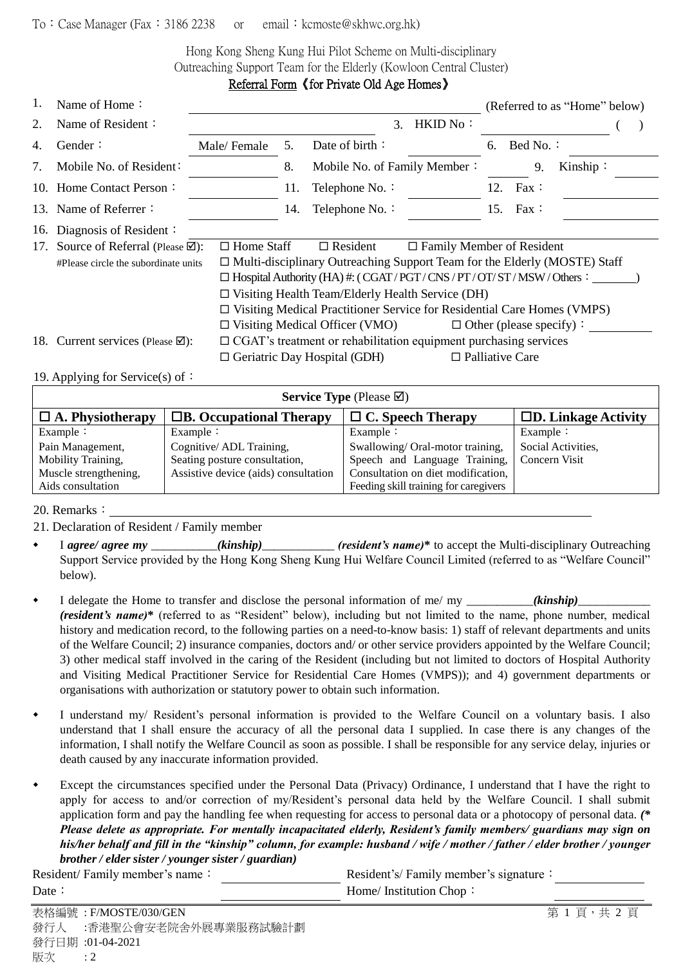## To: Case Manager (Fax: 3186 2238 or email: kcmoste@skhwc.org.hk)

Hong Kong Sheng Kung Hui Pilot Scheme on Multi-disciplinary Outreaching Support Team for the Elderly (Kowloon Central Cluster) Referral Form《for Private Old Age Homes》

| 1.                                                                                                                     | Name of Home:                             |                                                                             |                                                                                |                                       | (Referred to as "Home" below)    |     |                                |          |  |  |
|------------------------------------------------------------------------------------------------------------------------|-------------------------------------------|-----------------------------------------------------------------------------|--------------------------------------------------------------------------------|---------------------------------------|----------------------------------|-----|--------------------------------|----------|--|--|
| 2.                                                                                                                     | Name of Resident:                         |                                                                             |                                                                                |                                       | 3. HKID No:                      |     |                                |          |  |  |
| 4.                                                                                                                     | Gender:                                   | Male/Female                                                                 | 5.                                                                             | Date of birth:                        |                                  | 6.  | Bed No.:                       |          |  |  |
| 7.                                                                                                                     | Mobile No. of Resident:                   |                                                                             | 8.                                                                             | Mobile No. of Family Member:          |                                  |     | 9.                             | Kinship: |  |  |
|                                                                                                                        | 10. Home Contact Person:                  |                                                                             | 11.                                                                            | Telephone No. :                       |                                  | 12. | $\text{Fax}$ :                 |          |  |  |
|                                                                                                                        | 13. Name of Referrer:                     |                                                                             | 14.                                                                            | Telephone No. :                       |                                  | 15. | $\text{Fax}$ :                 |          |  |  |
| 16.                                                                                                                    | Diagnosis of Resident:                    |                                                                             |                                                                                |                                       |                                  |     |                                |          |  |  |
| 17.                                                                                                                    | Source of Referral (Please $\boxtimes$ ): | $\Box$ Home Staff                                                           |                                                                                | $\Box$ Resident                       | $\Box$ Family Member of Resident |     |                                |          |  |  |
|                                                                                                                        | #Please circle the subordinate units      | □ Multi-disciplinary Outreaching Support Team for the Elderly (MOSTE) Staff |                                                                                |                                       |                                  |     |                                |          |  |  |
|                                                                                                                        |                                           |                                                                             | $\Box$ Hospital Authority (HA) #: (CGAT/PGT/CNS/PT/OT/ST/MSW/Others:           |                                       |                                  |     |                                |          |  |  |
|                                                                                                                        |                                           |                                                                             | $\Box$ Visiting Health Team/Elderly Health Service (DH)                        |                                       |                                  |     |                                |          |  |  |
|                                                                                                                        |                                           |                                                                             | $\Box$ Visiting Medical Practitioner Service for Residential Care Homes (VMPS) |                                       |                                  |     |                                |          |  |  |
|                                                                                                                        |                                           |                                                                             |                                                                                | $\Box$ Visiting Medical Officer (VMO) |                                  |     | $\Box$ Other (please specify): |          |  |  |
| $\Box$ CGAT's treatment or rehabilitation equipment purchasing services<br>18. Current services (Please $\boxtimes$ ): |                                           |                                                                             |                                                                                |                                       |                                  |     |                                |          |  |  |
|                                                                                                                        |                                           |                                                                             |                                                                                | $\Box$ Geriatric Day Hospital (GDH)   |                                  |     | $\Box$ Palliative Care         |          |  |  |
|                                                                                                                        |                                           |                                                                             |                                                                                |                                       |                                  |     |                                |          |  |  |

19. Applying for Service(s) of:

| <b>Service Type</b> (Please $\boxtimes$ ) |                                      |                                             |                               |  |  |  |  |  |
|-------------------------------------------|--------------------------------------|---------------------------------------------|-------------------------------|--|--|--|--|--|
| $\Box$ A. Physiotherapy                   | $\Box$ B. Occupational Therapy       | $\Box$ C. Speech Therapy                    | $\square$ D. Linkage Activity |  |  |  |  |  |
| Example $\colon$                          | Example $\colon$                     | Example $\vdots$                            | Example $\colon$              |  |  |  |  |  |
| Pain Management,                          | Cognitive/ADL Training,              | Swallowing/Oral-motor training,             | Social Activities,            |  |  |  |  |  |
| Mobility Training,                        | Seating posture consultation,        | Speech and Language Training, Concern Visit |                               |  |  |  |  |  |
| Muscle strengthening,                     | Assistive device (aids) consultation | Consultation on diet modification,          |                               |  |  |  |  |  |
| Aids consultation                         |                                      | Feeding skill training for caregivers       |                               |  |  |  |  |  |

20. Remarks:

21. Declaration of Resident / Family member

- I *agree/ agree my* \_\_\_\_\_\_\_\_\_\_\_*(kinship)*\_\_\_\_\_\_\_\_\_\_\_\_ *(resident's name)***\*** to accept the Multi-disciplinary Outreaching Support Service provided by the Hong Kong Sheng Kung Hui Welfare Council Limited (referred to as "Welfare Council" below).
- I delegate the Home to transfer and disclose the personal information of me/ my \_\_\_\_\_\_\_\_\_\_\_*(kinship)*\_\_\_\_\_\_\_\_\_\_\_\_ *(resident's name)*\* (referred to as "Resident" below), including but not limited to the name, phone number, medical history and medication record, to the following parties on a need-to-know basis: 1) staff of relevant departments and units of the Welfare Council; 2) insurance companies, doctors and/ or other service providers appointed by the Welfare Council; 3) other medical staff involved in the caring of the Resident (including but not limited to doctors of Hospital Authority and Visiting Medical Practitioner Service for Residential Care Homes (VMPS)); and 4) government departments or organisations with authorization or statutory power to obtain such information.
- I understand my/ Resident's personal information is provided to the Welfare Council on a voluntary basis. I also understand that I shall ensure the accuracy of all the personal data I supplied. In case there is any changes of the information, I shall notify the Welfare Council as soon as possible. I shall be responsible for any service delay, injuries or death caused by any inaccurate information provided.
- Except the circumstances specified under the Personal Data (Privacy) Ordinance, I understand that I have the right to apply for access to and/or correction of my/Resident's personal data held by the Welfare Council. I shall submit application form and pay the handling fee when requesting for access to personal data or a photocopy of personal data. *(\* Please delete as appropriate. For mentally incapacitated elderly, Resident's family members/ guardians may sign on his/her behalf and fill in the "kinship" column, for example: husband / wife / mother / father / elder brother / younger brother / elder sister / younger sister / guardian)*

Resident/ Family member's name: Resident's/ Family member's signature: Date: Home/ Institution Chop: